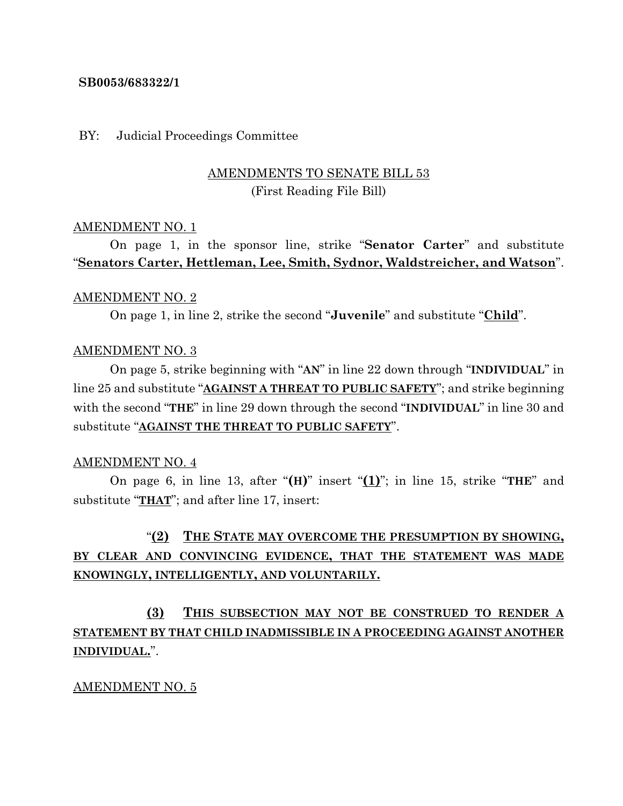## **SB0053/683322/1**

## BY: Judicial Proceedings Committee

## AMENDMENTS TO SENATE BILL 53 (First Reading File Bill)

## AMENDMENT NO. 1

On page 1, in the sponsor line, strike "**Senator Carter**" and substitute "**Senators Carter, Hettleman, Lee, Smith, Sydnor, Waldstreicher, and Watson**".

## AMENDMENT NO. 2

On page 1, in line 2, strike the second "**Juvenile**" and substitute "**Child**".

## AMENDMENT NO. 3

On page 5, strike beginning with "**AN**" in line 22 down through "**INDIVIDUAL**" in line 25 and substitute "**AGAINST A THREAT TO PUBLIC SAFETY**"; and strike beginning with the second "**THE**" in line 29 down through the second "**INDIVIDUAL**" in line 30 and substitute "**AGAINST THE THREAT TO PUBLIC SAFETY**".

## AMENDMENT NO. 4

On page 6, in line 13, after "**(H)**" insert "**(1)**"; in line 15, strike "**THE**" and substitute "**THAT**"; and after line 17, insert:

# "**(2) THE STATE MAY OVERCOME THE PRESUMPTION BY SHOWING, BY CLEAR AND CONVINCING EVIDENCE, THAT THE STATEMENT WAS MADE KNOWINGLY, INTELLIGENTLY, AND VOLUNTARILY.**

**(3) THIS SUBSECTION MAY NOT BE CONSTRUED TO RENDER A STATEMENT BY THAT CHILD INADMISSIBLE IN A PROCEEDING AGAINST ANOTHER INDIVIDUAL.**".

## AMENDMENT NO. 5